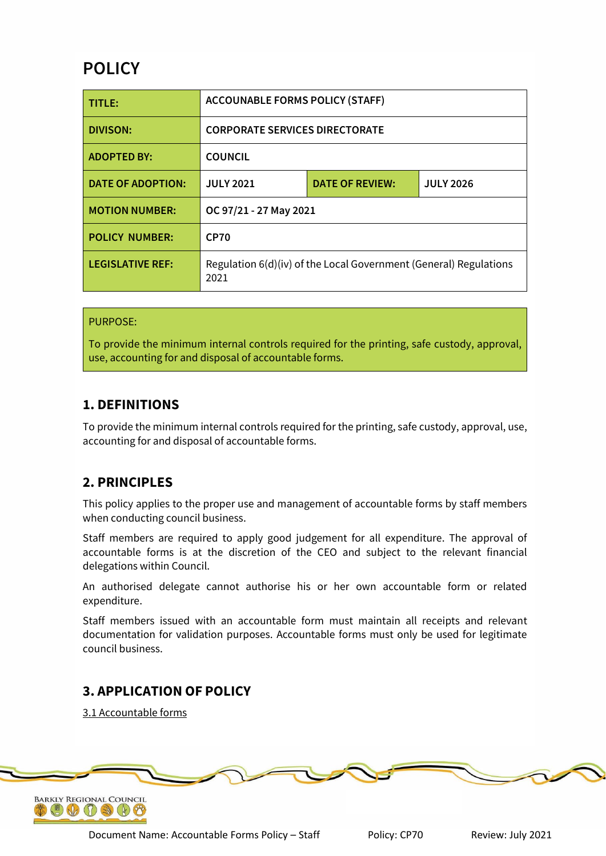# **POLICY**

| TITLE:                  | <b>ACCOUNABLE FORMS POLICY (STAFF)</b>                                    |                        |                  |
|-------------------------|---------------------------------------------------------------------------|------------------------|------------------|
| DIVISON:                | <b>CORPORATE SERVICES DIRECTORATE</b>                                     |                        |                  |
| <b>ADOPTED BY:</b>      | <b>COUNCIL</b>                                                            |                        |                  |
| DATE OF ADOPTION:       | <b>JULY 2021</b>                                                          | <b>DATE OF REVIEW:</b> | <b>JULY 2026</b> |
| <b>MOTION NUMBER:</b>   | OC 97/21 - 27 May 2021                                                    |                        |                  |
| <b>POLICY NUMBER:</b>   | <b>CP70</b>                                                               |                        |                  |
| <b>LEGISLATIVE REF:</b> | Regulation 6(d)(iv) of the Local Government (General) Regulations<br>2021 |                        |                  |

### PURPOSE:

To provide the minimum internal controls required for the printing, safe custody, approval, use, accounting for and disposal of accountable forms.

### **1. DEFINITIONS**

To provide the minimum internal controls required for the printing, safe custody, approval, use, accounting for and disposal of accountable forms.

# **2. PRINCIPLES**

This policy applies to the proper use and management of accountable forms by staff members when conducting council business.

Staff members are required to apply good judgement for all expenditure. The approval of accountable forms is at the discretion of the CEO and subject to the relevant financial delegations within Council.

An authorised delegate cannot authorise his or her own accountable form or related expenditure.

Staff members issued with an accountable form must maintain all receipts and relevant documentation for validation purposes. Accountable forms must only be used for legitimate council business.

# **3. APPLICATION OF POLICY**

3.1 Accountable forms

Document Name: Accountable Forms Policy – Staff Policy: CP70 Review: July 2021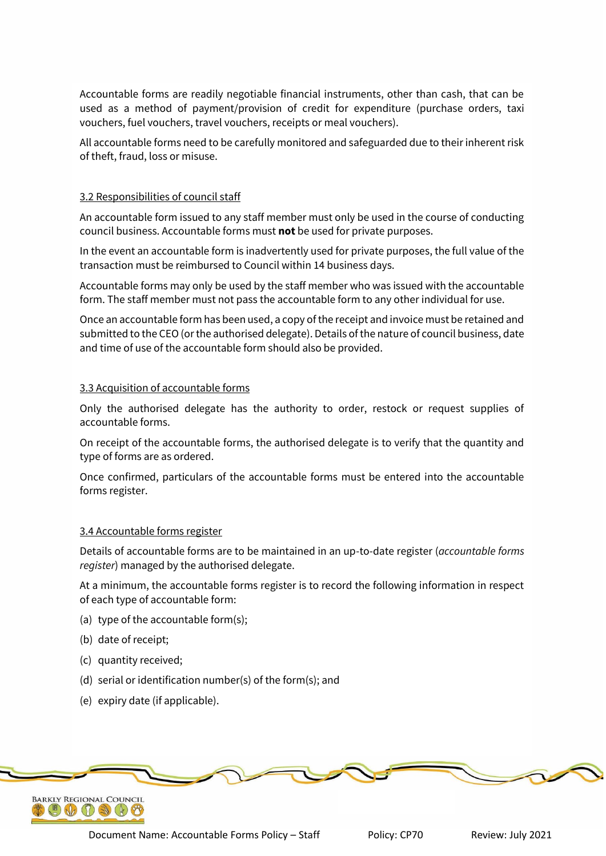Accountable forms are readily negotiable financial instruments, other than cash, that can be used as a method of payment/provision of credit for expenditure (purchase orders, taxi vouchers, fuel vouchers, travel vouchers, receipts or meal vouchers).

All accountable forms need to be carefully monitored and safeguarded due to their inherent risk of theft, fraud, loss or misuse.

#### 3.2 Responsibilities of council staff

An accountable form issued to any staff member must only be used in the course of conducting council business. Accountable forms must **not** be used for private purposes.

In the event an accountable form is inadvertently used for private purposes, the full value of the transaction must be reimbursed to Council within 14 business days.

Accountable forms may only be used by the staff member who was issued with the accountable form. The staff member must not pass the accountable form to any other individual for use.

Once an accountable form has been used, a copy of the receipt and invoice must be retained and submitted to the CEO (or the authorised delegate). Details of the nature of council business, date and time of use of the accountable form should also be provided.

#### 3.3 Acquisition of accountable forms

Only the authorised delegate has the authority to order, restock or request supplies of accountable forms.

On receipt of the accountable forms, the authorised delegate is to verify that the quantity and type of forms are as ordered.

Once confirmed, particulars of the accountable forms must be entered into the accountable forms register.

#### 3.4 Accountable forms register

Details of accountable forms are to be maintained in an up-to-date register (*accountable forms register*) managed by the authorised delegate.

At a minimum, the accountable forms register is to record the following information in respect of each type of accountable form:

- (a) type of the accountable form(s);
- (b) date of receipt;
- (c) quantity received;
- (d) serial or identification number(s) of the form(s); and
- (e) expiry date (if applicable).



Document Name: Accountable Forms Policy – Staff Policy: CP70 Review: July 2021